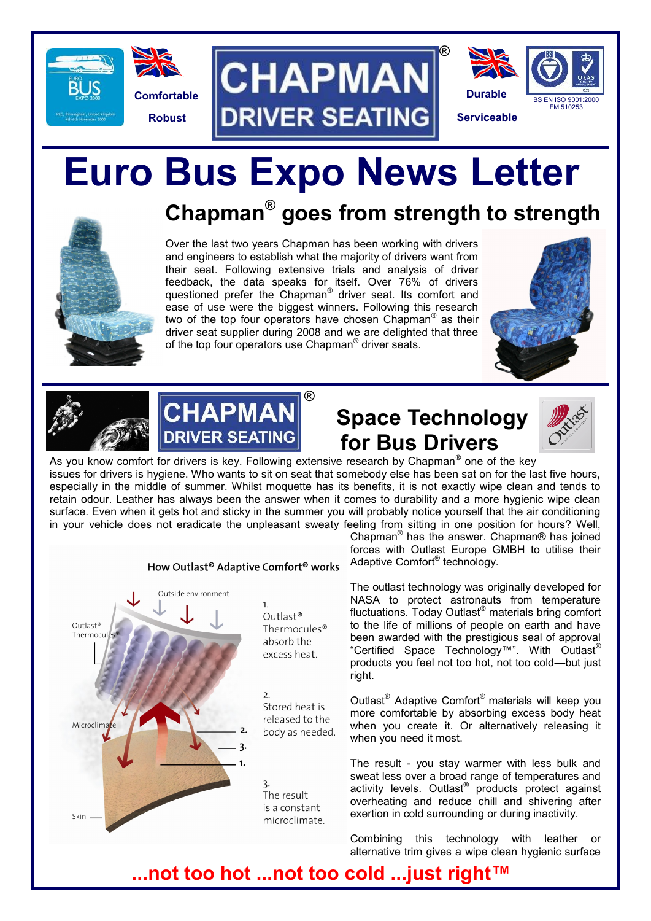





# **Euro Bus Expo News Letter**

# **Chapman**® **goes from strength to strength**

Over the last two years Chapman has been working with drivers and engineers to establish what the majority of drivers want from their seat. Following extensive trials and analysis of driver feedback, the data speaks for itself. Over 76% of drivers questioned prefer the Chapman<sup>®</sup> driver seat. Its comfort and ease of use were the biggest winners. Following this research two of the top four operators have chosen Chapman® as their driver seat supplier during 2008 and we are delighted that three of the top four operators use Chapman<sup>®</sup> driver seats.







#### **Space Technology for Bus Drivers**

®



As you know comfort for drivers is key. Following extensive research by Chapman<sup>®</sup> one of the key issues for drivers is hygiene. Who wants to sit on seat that somebody else has been sat on for the last five hours, especially in the middle of summer. Whilst moquette has its benefits, it is not exactly wipe clean and tends to retain odour. Leather has always been the answer when it comes to durability and a more hygienic wipe clean surface. Even when it gets hot and sticky in the summer you will probably notice yourself that the air conditioning in your vehicle does not eradicate the unpleasant sweaty feeling from sitting in one position for hours? Well,



Chapman® has the answer. Chapman® has joined forces with Outlast Europe GMBH to utilise their Adaptive Comfort® technology.

The outlast technology was originally developed for NASA to protect astronauts from temperature fluctuations. Today Outlast® materials bring comfort to the life of millions of people on earth and have been awarded with the prestigious seal of approval "Certified Space Technology™". With Outlast® products you feel not too hot, not too cold—but just right.

Outlast® Adaptive Comfort® materials will keep you more comfortable by absorbing excess body heat when you create it. Or alternatively releasing it when you need it most.

The result - you stay warmer with less bulk and sweat less over a broad range of temperatures and activity levels. Outlast® products protect against overheating and reduce chill and shivering after exertion in cold surrounding or during inactivity.

Combining this technology with leather or alternative trim gives a wipe clean hygienic surface

#### **...not too hot ...not too cold ...just right™**